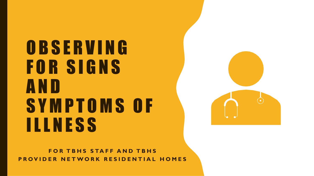O B S E R V I N G FOR SIGNS A N D S Y M P T O M S O F ILLNESS



**FOR TBHS STAFF AND TBHS PROVIDER NETWORK RESIDENTIAL HOMES**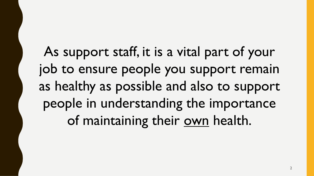As support staff, it is a vital part of your job to ensure people you support remain as healthy as possible and also to support people in understanding the importance of maintaining their own health.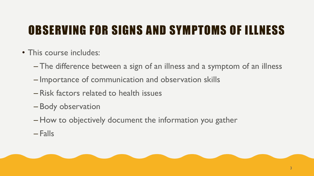#### OBSERVING FOR SIGNS AND SYMPTOMS OF ILLNESS

- This course includes:
	- The difference between a sign of an illness and a symptom of an illness
	- Importance of communication and observation skills
	- Risk factors related to health issues
	- Body observation
	- How to objectively document the information you gather
	- Falls

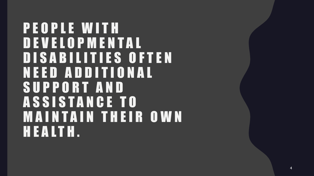P E O P L E W I T H D E V E L O P M E N T A L DISABILITIES OFTEN N E E D A D D I T I O N A L S U P P O R T A N D A S S I S T A N C E T O **MAINTAIN THEIR OWN** H E A L T H .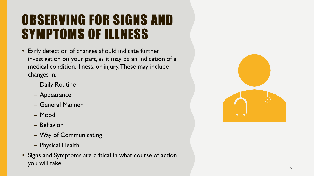#### OBSERVING FOR SIGNS AND SYMPTOMS OF ILLNESS

- Early detection of changes should indicate further investigation on your part, as it may be an indication of a medical condition, illness, or injury. These may include changes in:
	- Daily Routine
	- Appearance
	- General Manner
	- Mood
	- Behavior
	- Way of Communicating
	- Physical Health
- Signs and Symptoms are critical in what course of action you will take.

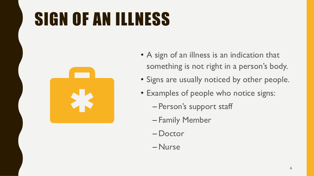# SIGN OF AN ILLNESS



- A sign of an illness is an indication that something is not right in a person's body.
- Signs are usually noticed by other people.
- Examples of people who notice signs:
	- Person's support staff
	- Family Member
	- Doctor
	- Nurse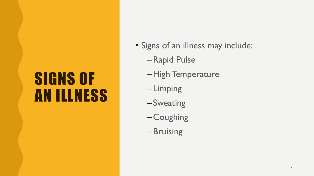### SIGNS OF AN ILLNESS

- Signs of an illness may include:
	- –Rapid Pulse
	- –High Temperature
	- Limping
	- Sweating
	- Coughing
	- Bruising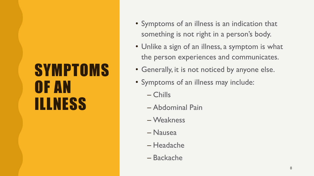### **SYMPTOMS** OF AN ILLNESS

- Symptoms of an illness is an indication that something is not right in a person's body.
- Unlike a sign of an illness, a symptom is what the person experiences and communicates.
- Generally, it is not noticed by anyone else.
- Symptoms of an illness may include:
	- Chills
	- Abdominal Pain
	- Weakness
	- Nausea
	- Headache
	- Backache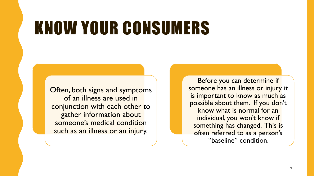## KNOW YOUR CONSUMERS

Often, both signs and symptoms of an illness are used in conjunction with each other to gather information about someone's medical condition such as an illness or an injury.

Before you can determine if someone has an illness or injury it is important to know as much as possible about them. If you don't know what is normal for an individual, you won't know if something has changed. This is often referred to as a person's "baseline" condition.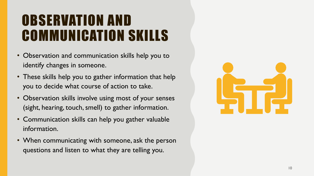#### OBSERVATION AND COMMUNICATION SKILLS

- Observation and communication skills help you to identify changes in someone.
- These skills help you to gather information that help you to decide what course of action to take.
- Observation skills involve using most of your senses (sight, hearing, touch, smell) to gather information.
- Communication skills can help you gather valuable information.
- When communicating with someone, ask the person questions and listen to what they are telling you.

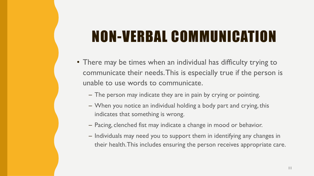#### NON-VERBAL COMMUNICATION

- There may be times when an individual has difficulty trying to communicate their needs. This is especially true if the person is unable to use words to communicate.
	- The person may indicate they are in pain by crying or pointing.
	- When you notice an individual holding a body part and crying, this indicates that something is wrong.
	- Pacing, clenched fist may indicate a change in mood or behavior.
	- Individuals may need you to support them in identifying any changes in their health. This includes ensuring the person receives appropriate care.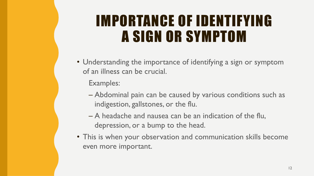#### IMPORTANCE OF IDENTIFYING A SIGN OR SYMPTOM

• Understanding the importance of identifying a sign or symptom of an illness can be crucial.

Examples:

- Abdominal pain can be caused by various conditions such as indigestion, gallstones, or the flu.
- A headache and nausea can be an indication of the flu, depression, or a bump to the head.
- This is when your observation and communication skills become even more important.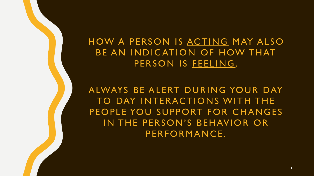#### HOW A PERSON IS ACTING MAY ALSO BE AN INDICATION OF HOW THAT PERSON IS FEELING.

A LWAYS BE ALERT DURING YOUR DAY TO DAY INTERACTIONS WITH THE PEOPLE YOU SUPPORT FOR CHANGES IN THE PERSON'S BEHAVIOR OR PERFORMANCE.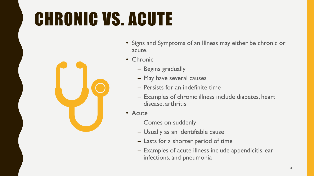# CHRONIC VS. ACUTE



- Signs and Symptoms of an Illness may either be chronic or acute.
- Chronic
	- Begins gradually
	- May have several causes
	- Persists for an indefinite time
	- Examples of chronic illness include diabetes, heart disease, arthritis
- Acute
	- Comes on suddenly
	- Usually as an identifiable cause
	- Lasts for a shorter period of time
	- Examples of acute illness include appendicitis, ear infections, and pneumonia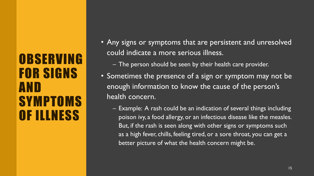#### **OBSERVING** FOR SIGNS AND **SYMPTOMS** OF ILLNESS

- Any signs or symptoms that are persistent and unresolved could indicate a more serious illness.
	- The person should be seen by their health care provider.
- Sometimes the presence of a sign or symptom may not be enough information to know the cause of the person's health concern.
	- Example: A rash could be an indication of several things including poison ivy, a food allergy, or an infectious disease like the measles. But, if the rash is seen along with other signs or symptoms such as a high fever, chills, feeling tired, or a sore throat, you can get a better picture of what the health concern might be.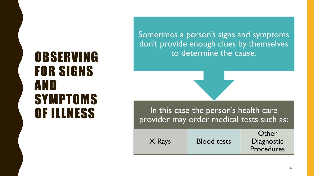### OBSERVING FOR SIGNS AND **SYMPTOMS**

Sometimes a person's signs and symptoms don't provide enough clues by themselves to determine the cause.

OF ILLNESS In this case the person's health care provider may order medical tests such as:

|        |                    | Other      |  |  |  |
|--------|--------------------|------------|--|--|--|
| X-Rays | <b>Blood tests</b> | Diagnostic |  |  |  |
|        |                    | Procedures |  |  |  |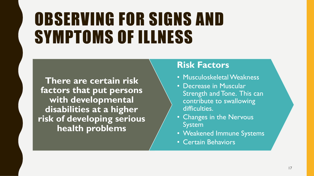## OBSERVING FOR SIGNS AND SYMPTOMS OF ILLNESS

**There are certain risk factors that put persons with developmental disabilities at a higher risk of developing serious health problems**

#### **Risk Factors**

- Musculoskeletal Weakness
- Decrease in Muscular Strength and Tone. This can contribute to swallowing difficulties.
- Changes in the Nervous System
- Weakened Immune Systems
- Certain Behaviors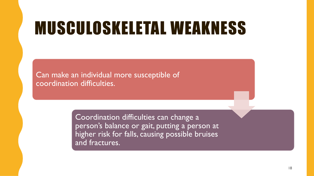### MUSCULOSKELETAL WEAKNESS

Can make an individual more susceptible of coordination difficulties.

> Coordination difficulties can change a person's balance or gait, putting a person at higher risk for falls, causing possible bruises and fractures.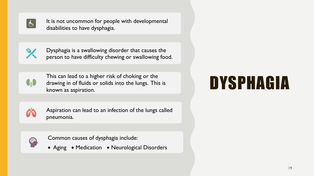

It is not uncommon for people with developmental disabilities to have dysphagia.



Dysphagia is a swallowing disorder that causes the person to have difficulty chewing or swallowing food.



This can lead to a higher risk of choking or the drawing in of fluids or solids into the lungs. This is known as aspiration.



Aspiration can lead to an infection of the lungs called pneumonia.



Common causes of dysphagia include:

• Aging • Medication • Neurological Disorders

## DYSPHAGIA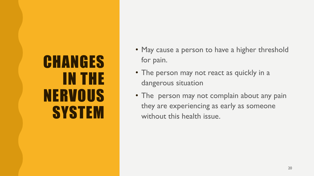### **CHANGES** IN THE NERVOUS **SYSTEM**

- May cause a person to have a higher threshold for pain.
- The person may not react as quickly in a dangerous situation
- The person may not complain about any pain they are experiencing as early as someone without this health issue.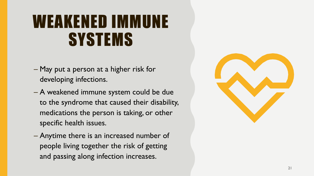### WEAKENED IMMUNE SYSTEMS

- May put a person at a higher risk for developing infections.
- A weakened immune system could be due to the syndrome that caused their disability, medications the person is taking, or other specific health issues.
- Anytime there is an increased number of people living together the risk of getting and passing along infection increases.

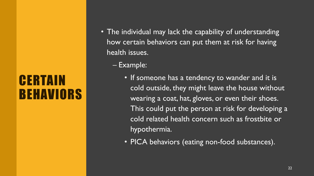#### **CERTAIN** BEHAVIORS

- The individual may lack the capability of understanding how certain behaviors can put them at risk for having health issues.
	- Example:
		- If someone has a tendency to wander and it is cold outside, they might leave the house without wearing a coat, hat, gloves, or even their shoes. This could put the person at risk for developing a cold related health concern such as frostbite or hypothermia.
		- PICA behaviors (eating non-food substances).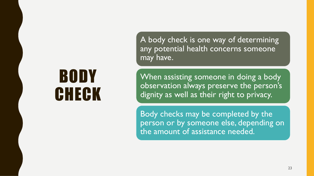A body check is one way of determining any potential health concerns someone may have.

When assisting someone in doing a body observation always preserve the person's dignity as well as their right to privacy.

Body checks may be completed by the person or by someone else, depending on the amount of assistance needed.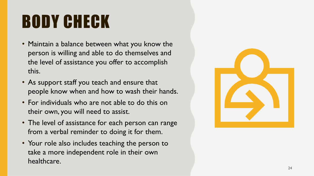- Maintain a balance between what you know the person is willing and able to do themselves and the level of assistance you offer to accomplish this.
- As support staff you teach and ensure that people know when and how to wash their hands.
- For individuals who are not able to do this on their own, you will need to assist.
- The level of assistance for each person can range from a verbal reminder to doing it for them.
- Your role also includes teaching the person to take a more independent role in their own healthcare.

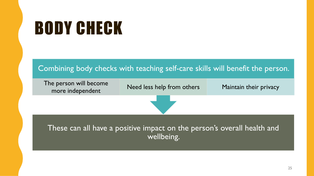

The person will become Le person will become<br>more independent Meed less help from others Maintain their privacy

These can all have a positive impact on the person's overall health and wellbeing.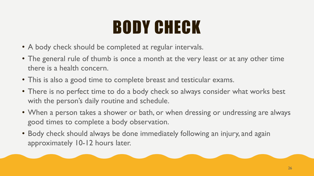- A body check should be completed at regular intervals.
- The general rule of thumb is once a month at the very least or at any other time there is a health concern.
- This is also a good time to complete breast and testicular exams.
- There is no perfect time to do a body check so always consider what works best with the person's daily routine and schedule.
- When a person takes a shower or bath, or when dressing or undressing are always good times to complete a body observation.
- Body check should always be done immediately following an injury, and again approximately 10-12 hours later.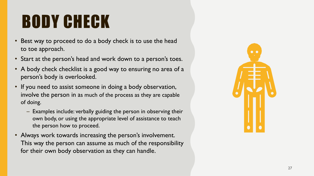- Best way to proceed to do a body check is to use the head to toe approach.
- Start at the person's head and work down to a person's toes.
- A body check checklist is a good way to ensuring no area of a person's body is overlooked.
- If you need to assist someone in doing a body observation, involve the person in as much of the process as they are capable of doing.
	- Examples include: verbally guiding the person in observing their own body, or using the appropriate level of assistance to teach the person how to proceed.
- Always work towards increasing the person's involvement. This way the person can assume as much of the responsibility for their own body observation as they can handle.

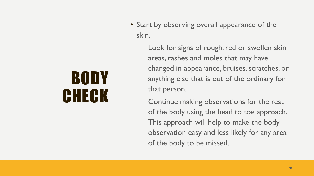- Start by observing overall appearance of the skin.
	- Look for signs of rough, red or swollen skin areas, rashes and moles that may have changed in appearance, bruises, scratches, or anything else that is out of the ordinary for that person.
	- Continue making observations for the rest of the body using the head to toe approach. This approach will help to make the body observation easy and less likely for any area of the body to be missed.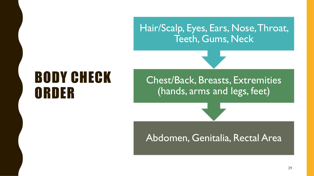Hair/Scalp, Eyes, Ears, Nose, Throat, Teeth, Gums, Neck

#### BODY CHECK ORDER

Chest/Back, Breasts, Extremities (hands, arms and legs, feet)

#### Abdomen, Genitalia, Rectal Area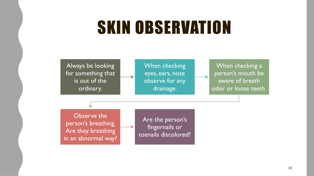### SKIN OBSERVATION

Always be looking for something that is out of the ordinary.

When checking eyes, ears, nose observe for any drainage.

When checking a person's mouth be aware of breath odor or loose teeth.

Observe the person's breathing. Are they breathing in an abnormal way?

Are the person's fingernails or toenails discolored?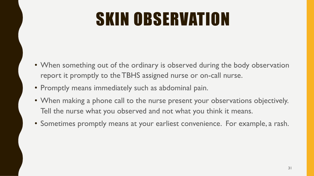# SKIN OBSERVATION

- When something out of the ordinary is observed during the body observation report it promptly to the TBHS assigned nurse or on-call nurse.
- Promptly means immediately such as abdominal pain.
- When making a phone call to the nurse present your observations objectively. Tell the nurse what you observed and not what you think it means.
- Sometimes promptly means at your earliest convenience. For example, a rash.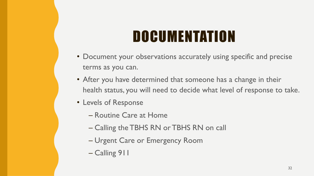### **DOCUMENTATION**

- Document your observations accurately using specific and precise terms as you can.
- After you have determined that someone has a change in their health status, you will need to decide what level of response to take.
- Levels of Response
	- Routine Care at Home
	- Calling the TBHS RN or TBHS RN on call
	- Urgent Care or Emergency Room
	- Calling 911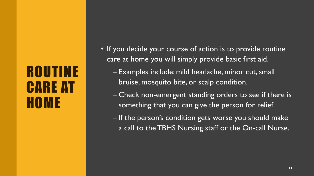#### ROUTINE CARE AT HOME

- If you decide your course of action is to provide routine care at home you will simply provide basic first aid.
	- Examples include: mild headache, minor cut, small bruise, mosquito bite, or scalp condition.
	- Check non-emergent standing orders to see if there is something that you can give the person for relief.
	- If the person's condition gets worse you should make a call to the TBHS Nursing staff or the On-call Nurse.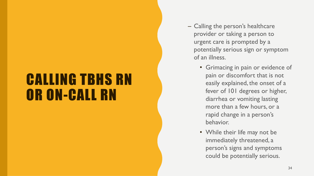#### CALLING TBHS RN OR ON-CALL RN

- Calling the person's healthcare provider or taking a person to urgent care is prompted by a potentially serious sign or symptom of an illness.
	- Grimacing in pain or evidence of pain or discomfort that is not easily explained, the onset of a fever of 101 degrees or higher, diarrhea or vomiting lasting more than a few hours, or a rapid change in a person's behavior.
	- While their life may not be immediately threatened, a person's signs and symptoms could be potentially serious.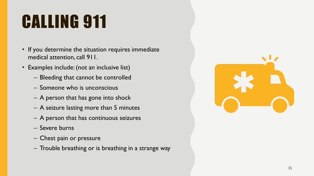# CALLING 911

- If you determine the situation requires immediate medical attention, call 911.
- Examples include: (not an inclusive list)
	- Bleeding that cannot be controlled
	- Someone who is unconscious
	- A person that has gone into shock
	- A seizure lasting more than 5 minutes
	- A person that has continuous seizures
	- Severe burns
	- Chest pain or pressure
	- Trouble breathing or is breathing in a strange way

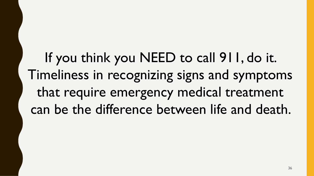If you think you NEED to call 911, do it. Timeliness in recognizing signs and symptoms that require emergency medical treatment can be the difference between life and death.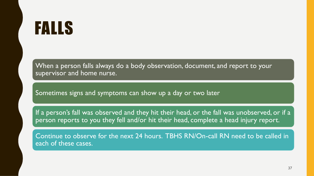### FALLS

When a person falls always do a body observation, document, and report to your supervisor and home nurse.

Sometimes signs and symptoms can show up a day or two later

If a person's fall was observed and they hit their head, or the fall was unobserved, or if a person reports to you they fell and/or hit their head, complete a head injury report.

Continue to observe for the next 24 hours. TBHS RN/On-call RN need to be called in each of these cases.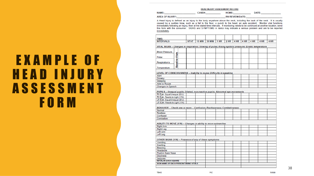**HEAD INJURY ASSESSMENT RECORD** 

| <b>NAME</b>          | н           | . . |  |  |
|----------------------|-------------|-----|--|--|
| <b>AREA C</b><br>. . | <b>AATE</b> |     |  |  |

A Head Injury is defined as an injury to the body anywhere above the neck, including the back of the neck. It is usually caused by a sudden blow, such as a fall to the floor, a punch to the head, an auto accident. Monitor vital functions immediately following an injury, then at the stated time intervals. If monitoring needs to be continued at another location, send this form with the consumer. SIGNS and SYMPTOMS in *italics* may indicate a serious problem and are to be reported immediately.

| TIME:                                                                                                 |             |               |               |      |      |      |      |      |      |      |
|-------------------------------------------------------------------------------------------------------|-------------|---------------|---------------|------|------|------|------|------|------|------|
| <b>INTERVALS</b>                                                                                      | <b>STAT</b> | <b>15 MIN</b> | <b>30 MIN</b> | 1 HR | 2 HR | 4 HR | 4 HR | 4 HR | 4 HR | 4 HR |
| VITAL SIGNS - Changes in respiration; Slowing of pulse; Rising systolic pressure; Erratic temperature |             |               |               |      |      |      |      |      |      |      |
| <b>Blood Pressure</b>                                                                                 |             |               |               |      |      |      |      |      |      |      |
| <b>Baseline Vitals</b><br>Pulse                                                                       |             |               |               |      |      |      |      |      |      |      |
| Respiration's                                                                                         |             |               |               |      |      |      |      |      |      |      |
| Temperature                                                                                           |             |               |               |      |      |      |      |      |      |      |
| LEVEL OF CONSCIOUSNESS - Inability to rouse; Difficulty in speaking                                   |             |               |               |      |      |      |      |      |      |      |
| Alert                                                                                                 |             |               |               |      |      |      |      |      |      |      |
| <b>Drowsy</b>                                                                                         |             |               |               |      |      |      |      |      |      |      |
| Sleeping                                                                                              |             |               |               |      |      |      |      |      |      |      |
| Able to Rouse                                                                                         |             |               |               |      |      |      |      |      |      |      |
| Changes in Speech                                                                                     |             |               |               |      |      |      |      |      |      |      |
|                                                                                                       |             |               |               |      |      |      |      |      |      |      |
| PUPILS - Unequal pupils; Dilated, non-reactive pupils; Abnormal eye movements                         |             |               |               |      |      |      |      |      |      |      |
| Rt Eye- Equal/Unequal (E/U)                                                                           |             |               |               |      |      |      |      |      |      |      |
| Rt Eye- Reacts to Light (Y/N)                                                                         |             |               |               |      |      |      |      |      |      |      |
| Lft Eye- Equal/Unequal (E/U)                                                                          |             |               |               |      |      |      |      |      |      |      |
| Lft Eye- Reacts to Light (Y/N)                                                                        |             |               |               |      |      |      |      |      |      |      |
| BEHAVIOR - Check one or more - Confusion; Restlessness; Combativeness                                 |             |               |               |      |      |      |      |      |      |      |
| Normal                                                                                                |             |               |               |      |      |      |      |      |      |      |
| <b>Restless</b>                                                                                       |             |               |               |      |      |      |      |      |      |      |
| Confused                                                                                              |             |               |               |      |      |      |      |      |      |      |
| Combative                                                                                             |             |               |               |      |      |      |      |      |      |      |
| ABILITY TO MOVE (Y/N) - Changes in ability to move extremities                                        |             |               |               |      |      |      |      |      |      |      |
| <b>Right Arm</b>                                                                                      |             |               |               |      |      |      |      |      |      |      |
| <b>Right Leg</b>                                                                                      |             |               |               |      |      |      |      |      |      |      |
| Left Arm                                                                                              |             |               |               |      |      |      |      |      |      |      |
| Left Leg                                                                                              |             |               |               |      |      |      |      |      |      |      |
| OTHER SIGNS (Y/N) - Presence of any of these symptoms                                                 |             |               |               |      |      |      |      |      |      |      |
| Vomiting                                                                                              |             |               |               |      |      |      |      |      |      |      |
| Swelling                                                                                              |             |               |               |      |      |      |      |      |      |      |
| Bleeding                                                                                              |             |               |               |      |      |      |      |      |      |      |
| Headache                                                                                              |             |               |               |      |      |      |      |      |      |      |
| Fluid in Ears/ Nose                                                                                   |             |               |               |      |      |      |      |      |      |      |
| <b>Dizziness</b>                                                                                      |             |               |               |      |      |      |      |      |      |      |
| <b>Seizures</b>                                                                                       |             |               |               |      |      |      |      |      |      |      |
| <b>INITIAL/IN EACH SQUARE</b>                                                                         |             |               |               |      |      |      |      |      |      |      |
| SIGN NAME OF EACH PERSON TAKING VITALS                                                                |             |               |               |      |      |      |      |      |      |      |
|                                                                                                       |             |               |               |      |      |      |      |      |      |      |
|                                                                                                       |             |               |               |      |      |      |      |      |      |      |

PIC

#### E X A M P L E O F H E A D I N J U R Y **ASSESSMENT** F O R M

5/6/99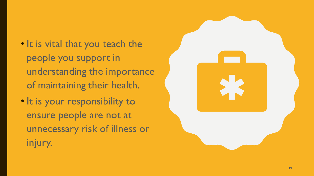- It is vital that you teach the people you support in understanding the importance of maintaining their health.
- It is your responsibility to ensure people are not at unnecessary risk of illness or injury.

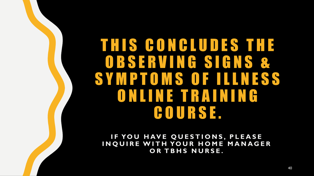#### T H I S C O N C L U D E S T H E O B S E R V I N G S I G N S & S Y M P T O M S O F I L L N E S S O N L I N E T R A I N I N G C O U R S E .

**IF YOU HAVE QUESTIONS, PLEASE INQUIRE WITH YOUR HOME MANAGER OR TBHS NURSE.**